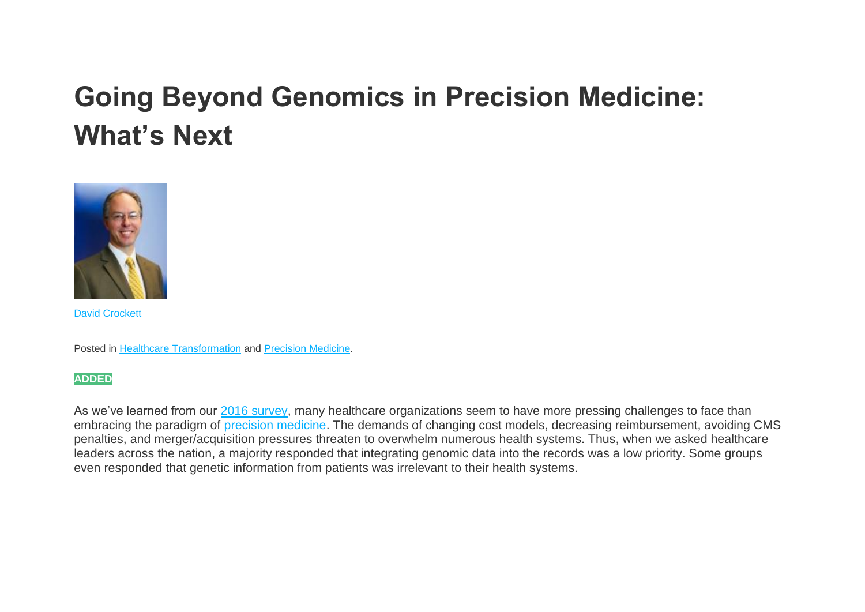# **Going Beyond Genomics in Precision Medicine: What's Next**



[David Crockett](https://www.healthcatalyst.com/real-opportunity-precision-medicine)

Posted in [Healthcare Transformation](https://www.healthcatalyst.com/knowledge-center/insights/category/healthcare-transformation/) and [Precision Medicine.](https://www.healthcatalyst.com/knowledge-center/insights/category/precision-medicine/)

**ADDED**

As we've learned from our [2016 survey,](https://www.healthcatalyst.com/news/survey-healthcare-organizations-unprepared-precision-medicine/) many healthcare organizations seem to have more pressing challenges to face than embracing the paradigm of [precision medicine.](https://www.healthcatalyst.com/real-opportunity-precision-medicine) The demands of changing cost models, decreasing reimbursement, avoiding CMS penalties, and merger/acquisition pressures threaten to overwhelm numerous health systems. Thus, when we asked healthcare leaders across the nation, a majority responded that integrating genomic data into the records was a low priority. Some groups even responded that genetic information from patients was irrelevant to their health systems.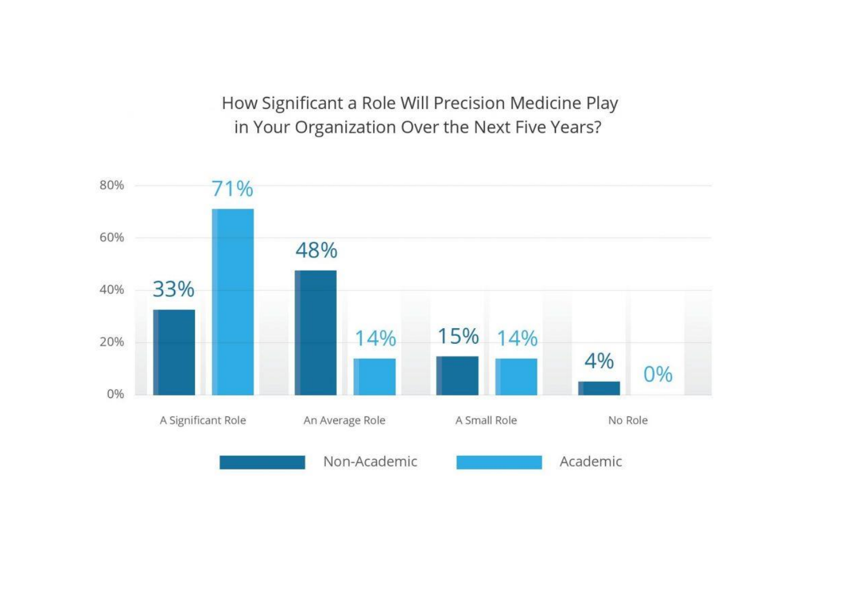How Significant a Role Will Precision Medicine Play in Your Organization Over the Next Five Years?

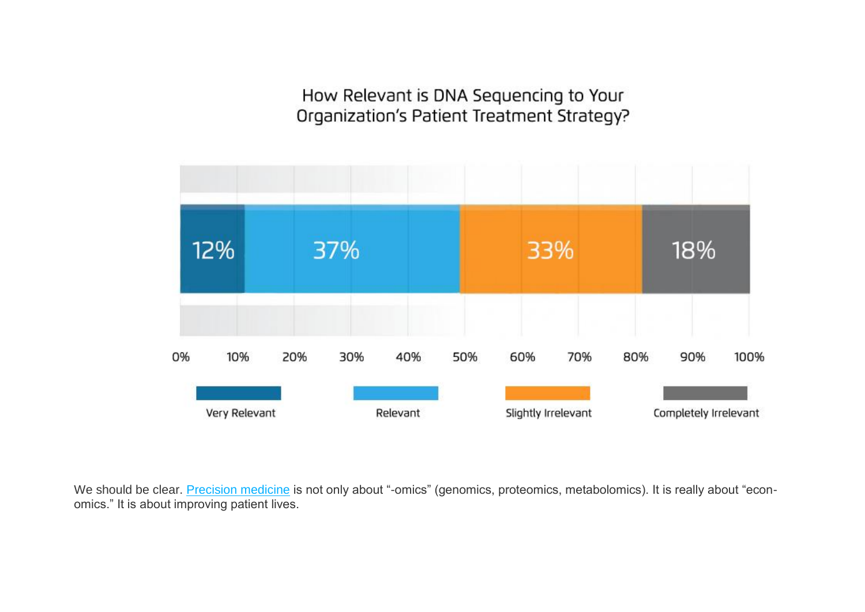How Relevant is DNA Sequencing to Your Organization's Patient Treatment Strategy?



We should be clear. [Precision medicine](https://www.healthcatalyst.com/real-opportunity-precision-medicine) is not only about "-omics" (genomics, proteomics, metabolomics). It is really about "economics." It is about improving patient lives.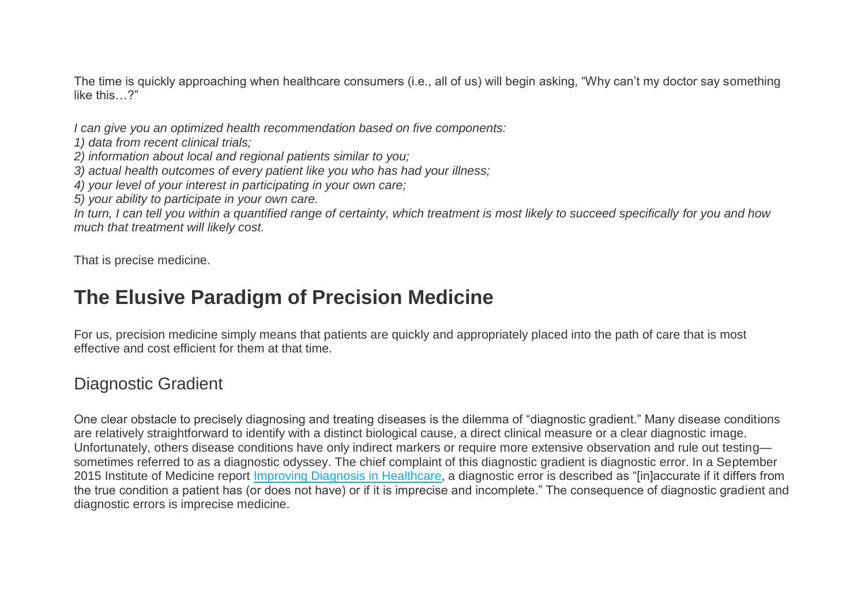The time is quickly approaching when healthcare consumers (i.e., all of us) will begin asking, "Why can't my doctor say something like this…?"

*I can give you an optimized health recommendation based on five components:*

- *1) data from recent clinical trials;*
- *2) information about local and regional patients similar to you;*
- *3) actual health outcomes of every patient like you who has had your illness;*
- *4) your level of your interest in participating in your own care;*
- *5) your ability to participate in your own care.*

*In turn, I can tell you within a quantified range of certainty, which treatment is most likely to succeed specifically for you and how much that treatment will likely cost.*

That is precise medicine.

# **The Elusive Paradigm of Precision Medicine**

For us, precision medicine simply means that patients are quickly and appropriately placed into the path of care that is most effective and cost efficient for them at that time.

### Diagnostic Gradient

One clear obstacle to precisely diagnosing and treating diseases is the dilemma of "diagnostic gradient." Many disease conditions are relatively straightforward to identify with a distinct biological cause, a direct clinical measure or a clear diagnostic image. Unfortunately, others disease conditions have only indirect markers or require more extensive observation and rule out testing sometimes referred to as a diagnostic odyssey. The chief complaint of this diagnostic gradient is diagnostic error. In a September 2015 Institute of Medicine report [Improving Diagnosis in Healthcare,](http://www.nationalacademies.org/hmd/~/media/Files/Report%20Files/2015/Improving-Diagnosis/DiagnosticError_ReportBrief.pdf) a diagnostic error is described as "linlaccurate if it differs from the true condition a patient has (or does not have) or if it is imprecise and incomplete." The consequence of diagnostic gradient and diagnostic errors is imprecise medicine.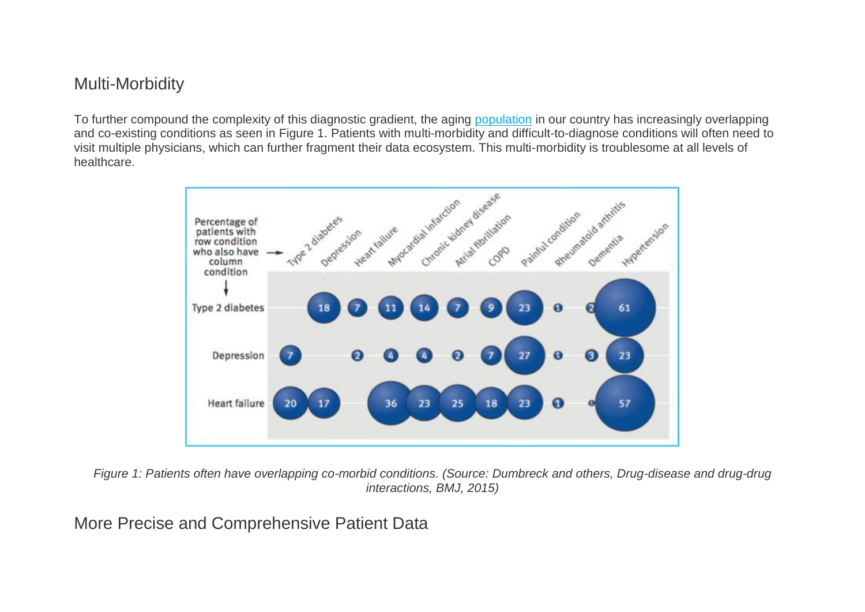### Multi-Morbidity

To further compound the complexity of this diagnostic gradient, the aging [population](https://www.healthcatalyst.com/Defining-Patient-Populations) in our country has increasingly overlapping and co-existing conditions as seen in Figure 1. Patients with multi-morbidity and difficult-to-diagnose conditions will often need to visit multiple physicians, which can further fragment their data ecosystem. This multi-morbidity is troublesome at all levels of healthcare.



*Figure 1: Patients often have overlapping co-morbid conditions. (Source: Dumbreck and others, Drug-disease and drug-drug interactions, BMJ, 2015)*

More Precise and Comprehensive Patient Data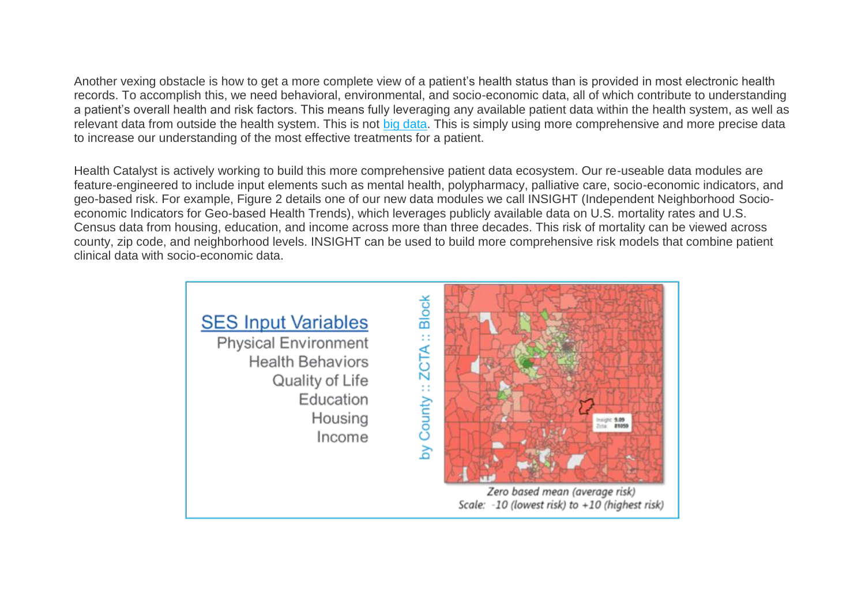Another vexing obstacle is how to get a more complete view of a patient's health status than is provided in most electronic health records. To accomplish this, we need behavioral, environmental, and socio-economic data, all of which contribute to understanding a patient's overall health and risk factors. This means fully leveraging any available patient data within the health system, as well as relevant data from outside the health system. This is not [big data.](https://www.healthcatalyst.com/big-data-in-healthcare-made-simple) This is simply using more comprehensive and more precise data to increase our understanding of the most effective treatments for a patient.

Health Catalyst is actively working to build this more comprehensive patient data ecosystem. Our re-useable data modules are feature-engineered to include input elements such as mental health, polypharmacy, palliative care, socio-economic indicators, and geo-based risk. For example, Figure 2 details one of our new data modules we call INSIGHT (Independent Neighborhood Socioeconomic Indicators for Geo-based Health Trends), which leverages publicly available data on U.S. mortality rates and U.S. Census data from housing, education, and income across more than three decades. This risk of mortality can be viewed across county, zip code, and neighborhood levels. INSIGHT can be used to build more comprehensive risk models that combine patient clinical data with socio-economic data.

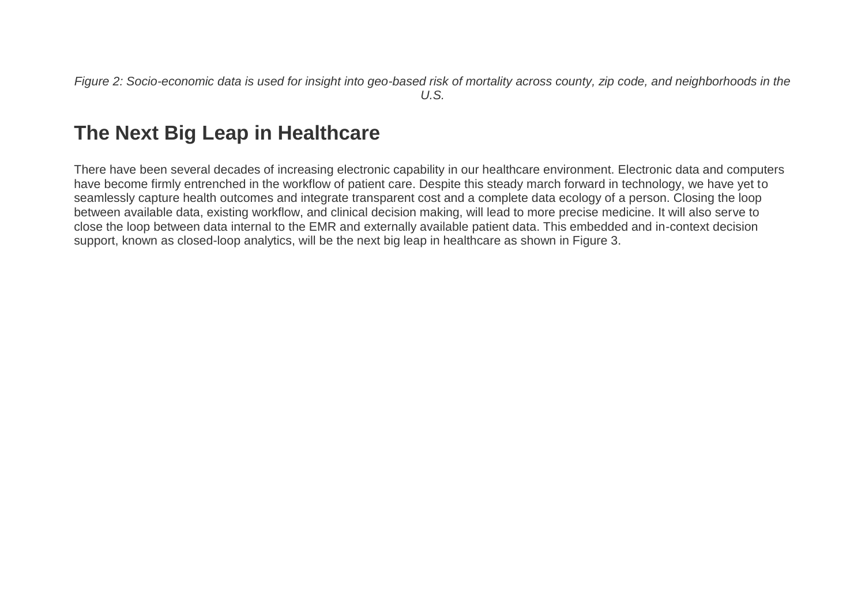*Figure 2: Socio-economic data is used for insight into geo-based risk of mortality across county, zip code, and neighborhoods in the U.S.*

# **The Next Big Leap in Healthcare**

There have been several decades of increasing electronic capability in our healthcare environment. Electronic data and computers have become firmly entrenched in the workflow of patient care. Despite this steady march forward in technology, we have yet to seamlessly capture health outcomes and integrate transparent cost and a complete data ecology of a person. Closing the loop between available data, existing workflow, and clinical decision making, will lead to more precise medicine. It will also serve to close the loop between data internal to the EMR and externally available patient data. This embedded and in-context decision support, known as closed-loop analytics, will be the next big leap in healthcare as shown in Figure 3.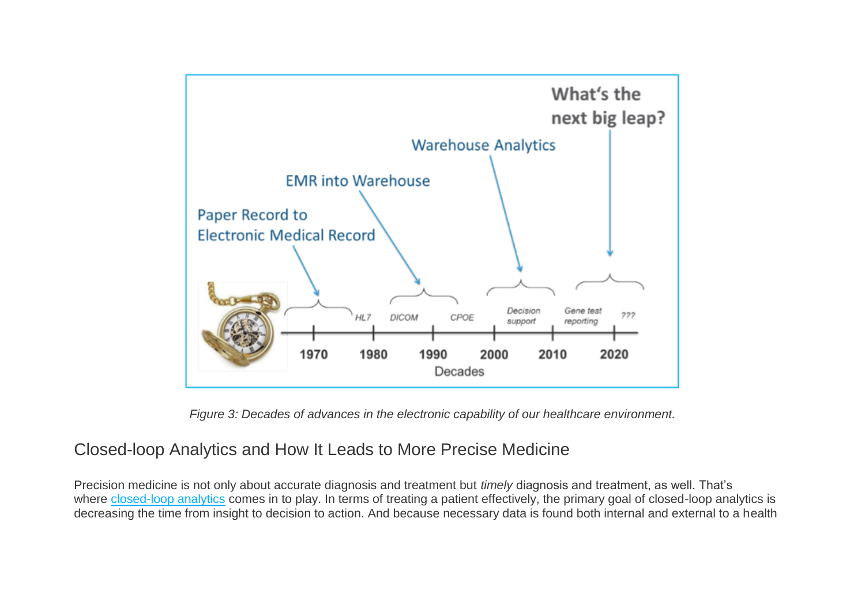

*Figure 3: Decades of advances in the electronic capability of our healthcare environment.*

# Closed-loop Analytics and How It Leads to More Precise Medicine

Precision medicine is not only about accurate diagnosis and treatment but *timely* diagnosis and treatment, as well. That's where [closed-loop analytics](https://www.healthcatalyst.com/news/Health-Catalyst-Announces-New-Products-at-HIMSS16) comes in to play. In terms of treating a patient effectively, the primary goal of closed-loop analytics is decreasing the time from insight to decision to action. And because necessary data is found both internal and external to a health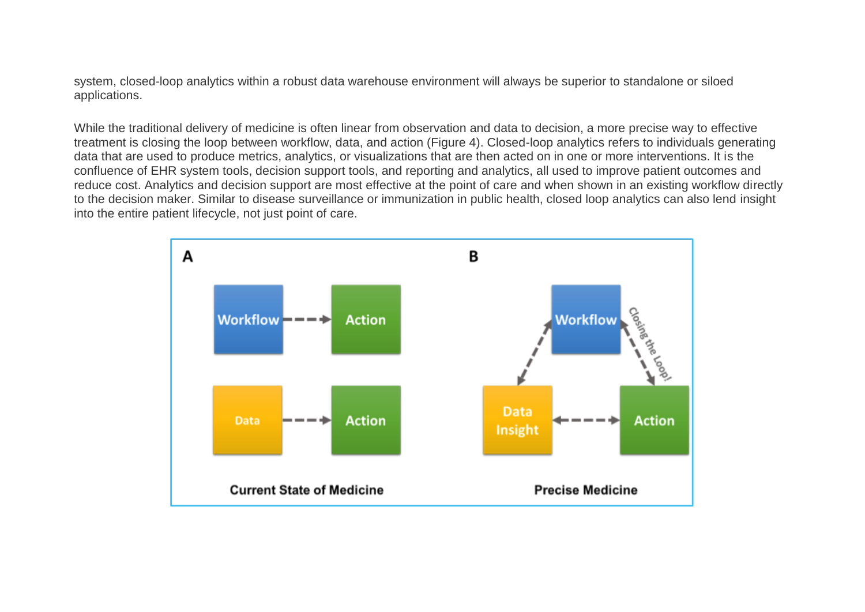system, closed-loop analytics within a robust data warehouse environment will always be superior to standalone or siloed applications.

While the traditional delivery of medicine is often linear from observation and data to decision, a more precise way to effective treatment is closing the loop between workflow, data, and action (Figure 4). Closed-loop analytics refers to individuals generating data that are used to produce metrics, analytics, or visualizations that are then acted on in one or more interventions. It is the confluence of EHR system tools, decision support tools, and reporting and analytics, all used to improve patient outcomes and reduce cost. Analytics and decision support are most effective at the point of care and when shown in an existing workflow directly to the decision maker. Similar to disease surveillance or immunization in public health, closed loop analytics can also lend insight into the entire patient lifecycle, not just point of care.

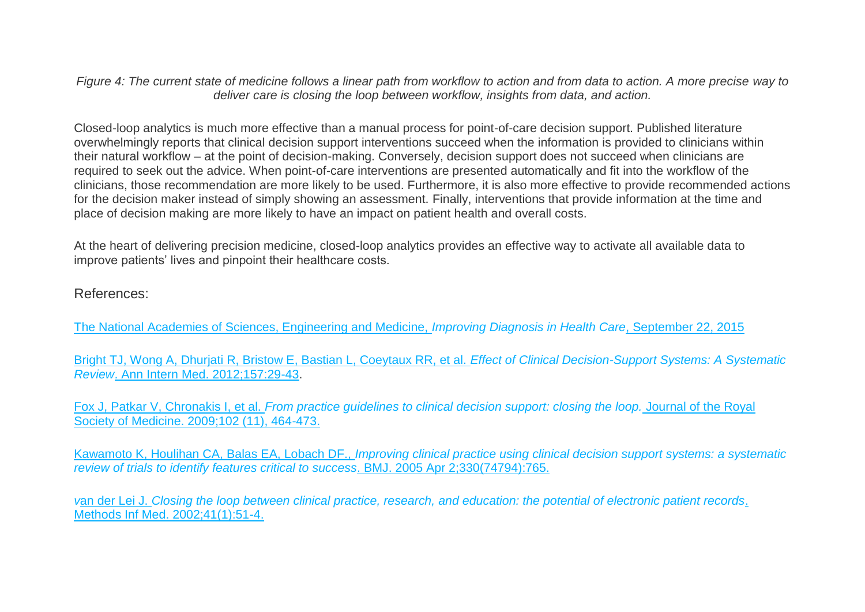*Figure 4: The current state of medicine follows a linear path from workflow to action and from data to action. A more precise way to deliver care is closing the loop between workflow, insights from data, and action.*

Closed-loop analytics is much more effective than a manual process for point-of-care decision support. Published literature overwhelmingly reports that clinical decision support interventions succeed when the information is provided to clinicians within their natural workflow – at the point of decision-making. Conversely, decision support does not succeed when clinicians are required to seek out the advice. When point-of-care interventions are presented automatically and fit into the workflow of the clinicians, those recommendation are more likely to be used. Furthermore, it is also more effective to provide recommended actions for the decision maker instead of simply showing an assessment. Finally, interventions that provide information at the time and place of decision making are more likely to have an impact on patient health and overall costs.

At the heart of delivering precision medicine, closed-loop analytics provides an effective way to activate all available data to improve patients' lives and pinpoint their healthcare costs.

#### References:

[The National Academies of Sciences, Engineering and Medicine,](http://www.nationalacademies.org/hmd/reports/2015/improving-diagnosis-in-healthcare/improving-diagnosis.aspx) *Improving Diagnosis in Health Care*, September 22, 2015

Bright TJ, [Wong A, Dhurjati R, Bristow E, Bastian L, Coeytaux RR, et al.](http://annals.org/aim/fullarticle/1206700/effect-clinical-decision-support-systems-systematic-review) *Effect of Clinical Decision-Support Systems: A Systematic Review*[. Ann Intern Med. 2012;157:29-43.](http://annals.org/aim/fullarticle/1206700/effect-clinical-decision-support-systems-systematic-review)

Fox J, Patkar V, Chronakis I, et al. *[From practice guidelines to clinical decision support: closing the loop.](https://www.ncbi.nlm.nih.gov/pmc/articles/PMC2770361/)* Journal of the Royal [Society of Medicine. 2009;102 \(11\), 464-473.](https://www.ncbi.nlm.nih.gov/pmc/articles/PMC2770361/)

Kawamoto K, Houlihan CA, Balas EA, Lobach DF., *[Improving clinical practice using clinical decision support systems: a systematic](https://www.ncbi.nlm.nih.gov/pubmed/15767266)  [review of trials to identify features critical to success](https://www.ncbi.nlm.nih.gov/pubmed/15767266)*. BMJ. 2005 Apr 2;330(74794):765.

*v*an der Lei J. *[Closing the loop between clinical practice, research, and education: the potential of electronic patient records](https://www.ncbi.nlm.nih.gov/pubmed/11933764)*. [Methods Inf Med. 2002;41\(1\):51-4.](https://www.ncbi.nlm.nih.gov/pubmed/11933764)